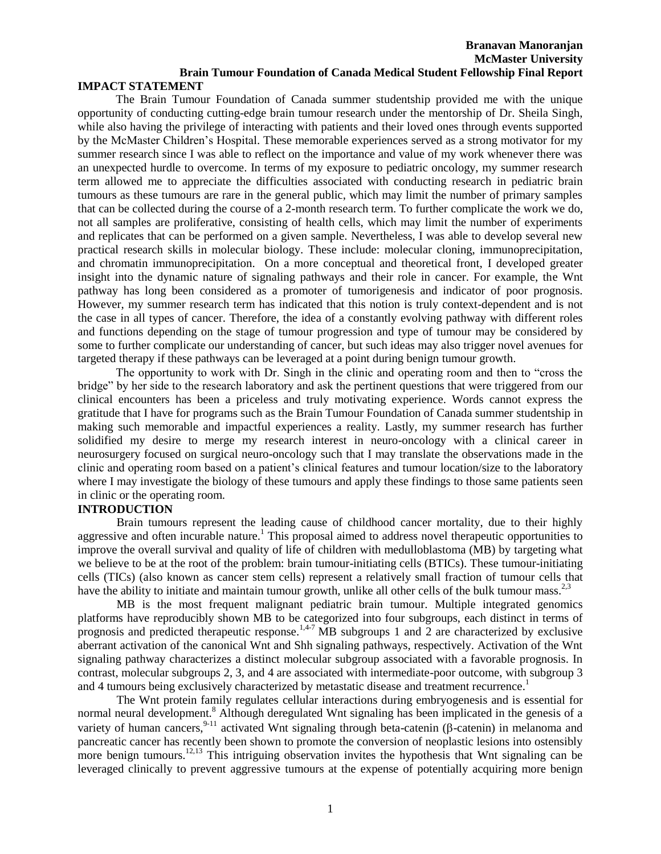#### **Branavan Manoranjan McMaster University Brain Tumour Foundation of Canada Medical Student Fellowship Final Report IMPACT STATEMENT**

The Brain Tumour Foundation of Canada summer studentship provided me with the unique opportunity of conducting cutting-edge brain tumour research under the mentorship of Dr. Sheila Singh, while also having the privilege of interacting with patients and their loved ones through events supported by the McMaster Children's Hospital. These memorable experiences served as a strong motivator for my summer research since I was able to reflect on the importance and value of my work whenever there was an unexpected hurdle to overcome. In terms of my exposure to pediatric oncology, my summer research term allowed me to appreciate the difficulties associated with conducting research in pediatric brain tumours as these tumours are rare in the general public, which may limit the number of primary samples that can be collected during the course of a 2-month research term. To further complicate the work we do, not all samples are proliferative, consisting of health cells, which may limit the number of experiments and replicates that can be performed on a given sample. Nevertheless, I was able to develop several new practical research skills in molecular biology. These include: molecular cloning, immunoprecipitation, and chromatin immunoprecipitation. On a more conceptual and theoretical front, I developed greater insight into the dynamic nature of signaling pathways and their role in cancer. For example, the Wnt pathway has long been considered as a promoter of tumorigenesis and indicator of poor prognosis. However, my summer research term has indicated that this notion is truly context-dependent and is not the case in all types of cancer. Therefore, the idea of a constantly evolving pathway with different roles and functions depending on the stage of tumour progression and type of tumour may be considered by some to further complicate our understanding of cancer, but such ideas may also trigger novel avenues for targeted therapy if these pathways can be leveraged at a point during benign tumour growth.

The opportunity to work with Dr. Singh in the clinic and operating room and then to "cross the bridge" by her side to the research laboratory and ask the pertinent questions that were triggered from our clinical encounters has been a priceless and truly motivating experience. Words cannot express the gratitude that I have for programs such as the Brain Tumour Foundation of Canada summer studentship in making such memorable and impactful experiences a reality. Lastly, my summer research has further solidified my desire to merge my research interest in neuro-oncology with a clinical career in neurosurgery focused on surgical neuro-oncology such that I may translate the observations made in the clinic and operating room based on a patient's clinical features and tumour location/size to the laboratory where I may investigate the biology of these tumours and apply these findings to those same patients seen in clinic or the operating room.

## **INTRODUCTION**

Brain tumours represent the leading cause of childhood cancer mortality, due to their highly aggressive and often incurable nature.<sup>1</sup> This proposal aimed to address novel therapeutic opportunities to improve the overall survival and quality of life of children with medulloblastoma (MB) by targeting what we believe to be at the root of the problem: brain tumour-initiating cells (BTICs). These tumour-initiating cells (TICs) (also known as cancer stem cells) represent a relatively small fraction of tumour cells that have the ability to initiate and maintain tumour growth, unlike all other cells of the bulk tumour mass.<sup>2,3</sup>

MB is the most frequent malignant pediatric brain tumour. Multiple integrated genomics platforms have reproducibly shown MB to be categorized into four subgroups, each distinct in terms of prognosis and predicted therapeutic response.<sup>1,4-7</sup> MB subgroups 1 and 2 are characterized by exclusive aberrant activation of the canonical Wnt and Shh signaling pathways, respectively. Activation of the Wnt signaling pathway characterizes a distinct molecular subgroup associated with a favorable prognosis. In contrast, molecular subgroups 2, 3, and 4 are associated with intermediate-poor outcome, with subgroup 3 and 4 tumours being exclusively characterized by metastatic disease and treatment recurrence.<sup>1</sup>

The Wnt protein family regulates cellular interactions during embryogenesis and is essential for normal neural development.<sup>8</sup> Although deregulated Wnt signaling has been implicated in the genesis of a variety of human cancers,  $9-11$  activated Wnt signaling through beta-catenin ( $\beta$ -catenin) in melanoma and pancreatic cancer has recently been shown to promote the conversion of neoplastic lesions into ostensibly more benign tumours.<sup>12,13</sup> This intriguing observation invites the hypothesis that Wnt signaling can be leveraged clinically to prevent aggressive tumours at the expense of potentially acquiring more benign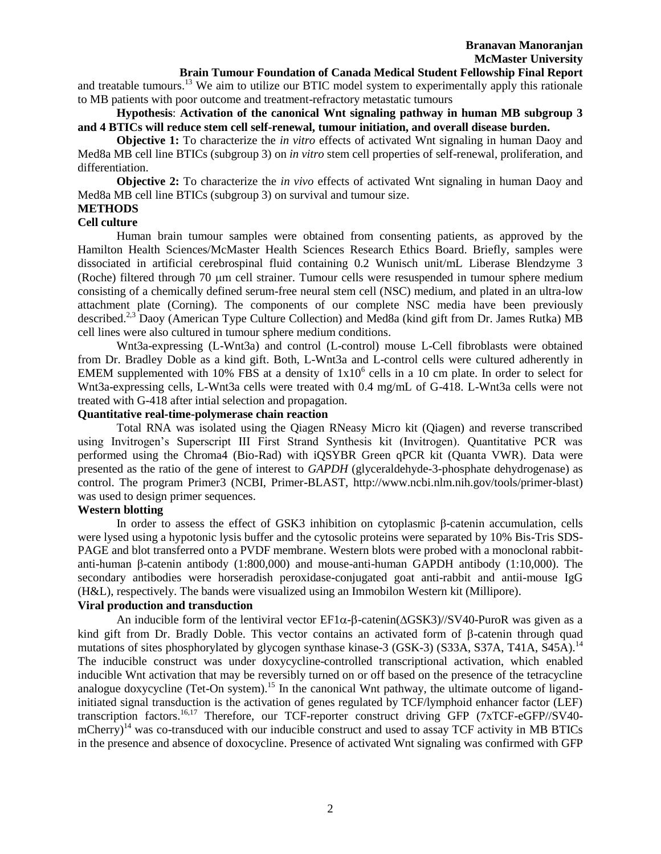# **Brain Tumour Foundation of Canada Medical Student Fellowship Final Report**

and treatable tumours.<sup>13</sup> We aim to utilize our BTIC model system to experimentally apply this rationale to MB patients with poor outcome and treatment-refractory metastatic tumours

# **Hypothesis**: **Activation of the canonical Wnt signaling pathway in human MB subgroup 3 and 4 BTICs will reduce stem cell self-renewal, tumour initiation, and overall disease burden.**

**Objective 1:** To characterize the *in vitro* effects of activated Wnt signaling in human Daoy and Med8a MB cell line BTICs (subgroup 3) on *in vitro* stem cell properties of self-renewal, proliferation, and differentiation.

**Objective 2:** To characterize the *in vivo* effects of activated Wnt signaling in human Daoy and Med8a MB cell line BTICs (subgroup 3) on survival and tumour size.

# **METHODS**

# **Cell culture**

Human brain tumour samples were obtained from consenting patients, as approved by the Hamilton Health Sciences/McMaster Health Sciences Research Ethics Board. Briefly, samples were dissociated in artificial cerebrospinal fluid containing 0.2 Wunisch unit/mL Liberase Blendzyme 3 (Roche) filtered through 70 m cell strainer. Tumour cells were resuspended in tumour sphere medium consisting of a chemically defined serum-free neural stem cell (NSC) medium, and plated in an ultra-low attachment plate (Corning). The components of our complete NSC media have been previously described.<sup>2,3</sup> Daoy (American Type Culture Collection) and Med8a (kind gift from Dr. James Rutka) MB cell lines were also cultured in tumour sphere medium conditions.

Wnt3a-expressing (L-Wnt3a) and control (L-control) mouse L-Cell fibroblasts were obtained from Dr. Bradley Doble as a kind gift. Both, L-Wnt3a and L-control cells were cultured adherently in EMEM supplemented with 10% FBS at a density of  $1x10^6$  cells in a 10 cm plate. In order to select for Wnt3a-expressing cells, L-Wnt3a cells were treated with 0.4 mg/mL of G-418. L-Wnt3a cells were not treated with G-418 after intial selection and propagation.

#### **Quantitative real-time-polymerase chain reaction**

Total RNA was isolated using the Qiagen RNeasy Micro kit (Qiagen) and reverse transcribed using Invitrogen's Superscript III First Strand Synthesis kit (Invitrogen). Quantitative PCR was performed using the Chroma4 (Bio-Rad) with iQSYBR Green qPCR kit (Quanta VWR). Data were presented as the ratio of the gene of interest to *GAPDH* (glyceraldehyde-3-phosphate dehydrogenase) as control. The program Primer3 (NCBI, Primer-BLAST, http://www.ncbi.nlm.nih.gov/tools/primer-blast) was used to design primer sequences.

# **Western blotting**

In order to assess the effect of GSK3 inhibition on cytoplasmic β-catenin accumulation, cells were lysed using a hypotonic lysis buffer and the cytosolic proteins were separated by 10% Bis-Tris SDS-PAGE and blot transferred onto a PVDF membrane. Western blots were probed with a monoclonal rabbitanti-human β-catenin antibody (1:800,000) and mouse-anti-human GAPDH antibody (1:10,000). The secondary antibodies were horseradish peroxidase-conjugated goat anti-rabbit and antii-mouse IgG (H&L), respectively. The bands were visualized using an Immobilon Western kit (Millipore).

# **Viral production and transduction**

An inducible form of the lentiviral vector  $EFL\alpha$ - $\beta$ -catenin( $\Delta GSK3$ )//SV40-PuroR was given as a kind gift from Dr. Bradly Doble. This vector contains an activated form of  $\beta$ -catenin through quad mutations of sites phosphorylated by glycogen synthase kinase-3 (GSK-3) (S33A, S37A, T41A, S45A).<sup>14</sup> The inducible construct was under doxycycline-controlled transcriptional activation, which enabled inducible Wnt activation that may be reversibly turned on or off based on the presence of the tetracycline analogue doxycycline (Tet-On system).<sup>15</sup> In the canonical Wnt pathway, the ultimate outcome of ligandinitiated signal transduction is the activation of genes regulated by TCF/lymphoid enhancer factor (LEF) transcription factors.<sup>16,17</sup> Therefore, our TCF-reporter construct driving GFP (7xTCF-eGFP//SV40mCherry)<sup>14</sup> was co-transduced with our inducible construct and used to assay TCF activity in MB BTICs in the presence and absence of doxocycline. Presence of activated Wnt signaling was confirmed with GFP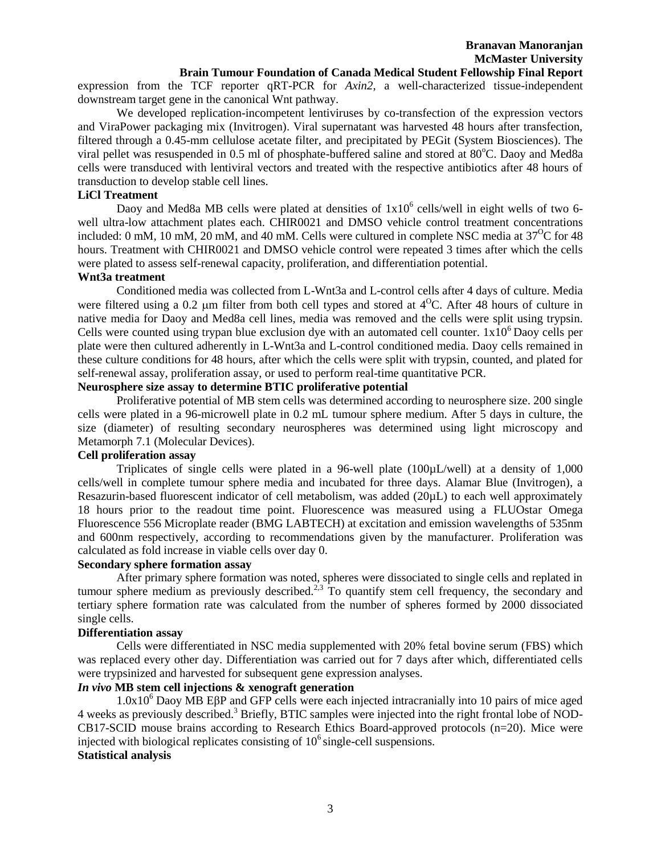#### **Brain Tumour Foundation of Canada Medical Student Fellowship Final Report**

expression from the TCF reporter qRT-PCR for *Axin2*, a well-characterized tissue-independent downstream target gene in the canonical Wnt pathway.

We developed replication-incompetent lentiviruses by co-transfection of the expression vectors and ViraPower packaging mix (Invitrogen). Viral supernatant was harvested 48 hours after transfection, filtered through a 0.45-mm cellulose acetate filter, and precipitated by PEGit (System Biosciences). The viral pellet was resuspended in 0.5 ml of phosphate-buffered saline and stored at 80°C. Daoy and Med8a cells were transduced with lentiviral vectors and treated with the respective antibiotics after 48 hours of transduction to develop stable cell lines.

### **LiCl Treatment**

Daoy and Med8a MB cells were plated at densities of  $1x10^6$  cells/well in eight wells of two 6well ultra-low attachment plates each. CHIR0021 and DMSO vehicle control treatment concentrations included: 0 mM, 10 mM, 20 mM, and 40 mM. Cells were cultured in complete NSC media at  $37^{\circ}$ C for 48 hours. Treatment with CHIR0021 and DMSO vehicle control were repeated 3 times after which the cells were plated to assess self-renewal capacity, proliferation, and differentiation potential.

#### **Wnt3a treatment**

Conditioned media was collected from L-Wnt3a and L-control cells after 4 days of culture. Media were filtered using a 0.2  $\mu$ m filter from both cell types and stored at 4<sup>o</sup>C. After 48 hours of culture in native media for Daoy and Med8a cell lines, media was removed and the cells were split using trypsin. Cells were counted using trypan blue exclusion dye with an automated cell counter.  $1x10^6$  Daoy cells per plate were then cultured adherently in L-Wnt3a and L-control conditioned media. Daoy cells remained in these culture conditions for 48 hours, after which the cells were split with trypsin, counted, and plated for self-renewal assay, proliferation assay, or used to perform real-time quantitative PCR.

# **Neurosphere size assay to determine BTIC proliferative potential**

Proliferative potential of MB stem cells was determined according to neurosphere size. 200 single cells were plated in a 96-microwell plate in 0.2 mL tumour sphere medium. After 5 days in culture, the size (diameter) of resulting secondary neurospheres was determined using light microscopy and Metamorph 7.1 (Molecular Devices).

## **Cell proliferation assay**

Triplicates of single cells were plated in a 96-well plate (100µL/well) at a density of 1,000 cells/well in complete tumour sphere media and incubated for three days. Alamar Blue (Invitrogen), a Resazurin-based fluorescent indicator of cell metabolism, was added (20µL) to each well approximately 18 hours prior to the readout time point. Fluorescence was measured using a FLUOstar Omega Fluorescence 556 Microplate reader (BMG LABTECH) at excitation and emission wavelengths of 535nm and 600nm respectively, according to recommendations given by the manufacturer. Proliferation was calculated as fold increase in viable cells over day 0.

#### **Secondary sphere formation assay**

After primary sphere formation was noted, spheres were dissociated to single cells and replated in tumour sphere medium as previously described.<sup>2,3</sup> To quantify stem cell frequency, the secondary and tertiary sphere formation rate was calculated from the number of spheres formed by 2000 dissociated single cells.

#### **Differentiation assay**

Cells were differentiated in NSC media supplemented with 20% fetal bovine serum (FBS) which was replaced every other day. Differentiation was carried out for 7 days after which, differentiated cells were trypsinized and harvested for subsequent gene expression analyses.

# *In vivo* **MB stem cell injections & xenograft generation**

1.0x10<sup>6</sup> Daoy MB EβP and GFP cells were each injected intracranially into 10 pairs of mice aged 4 weeks as previously described. <sup>3</sup> Briefly, BTIC samples were injected into the right frontal lobe of NOD-CB17-SCID mouse brains according to Research Ethics Board-approved protocols (n=20). Mice were injected with biological replicates consisting of  $10<sup>6</sup>$  single-cell suspensions. **Statistical analysis**

#### 3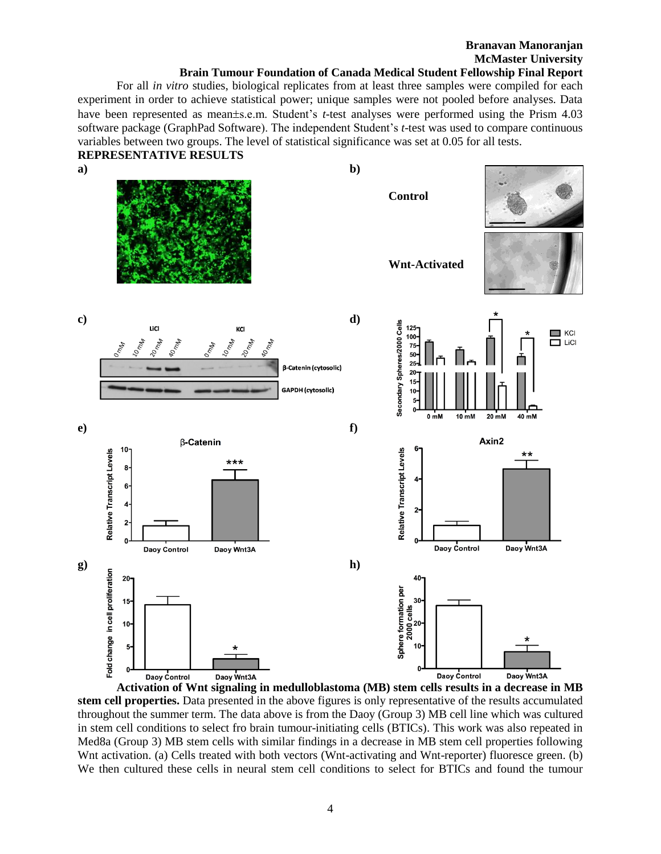# **Branavan Manoranjan McMaster University**

#### **Brain Tumour Foundation of Canada Medical Student Fellowship Final Report**

For all *in vitro* studies, biological replicates from at least three samples were compiled for each experiment in order to achieve statistical power; unique samples were not pooled before analyses. Data have been represented as mean±s.e.m. Student's *t*-test analyses were performed using the Prism 4.03 software package (GraphPad Software). The independent Student's *t*-test was used to compare continuous variables between two groups. The level of statistical significance was set at 0.05 for all tests.



**Activation of Wnt signaling in medulloblastoma (MB) stem cells results in a decrease in MB stem cell properties.** Data presented in the above figures is only representative of the results accumulated throughout the summer term. The data above is from the Daoy (Group 3) MB cell line which was cultured in stem cell conditions to select fro brain tumour-initiating cells (BTICs). This work was also repeated in Med8a (Group 3) MB stem cells with similar findings in a decrease in MB stem cell properties following Wnt activation. (a) Cells treated with both vectors (Wnt-activating and Wnt-reporter) fluoresce green. (b) We then cultured these cells in neural stem cell conditions to select for BTICs and found the tumour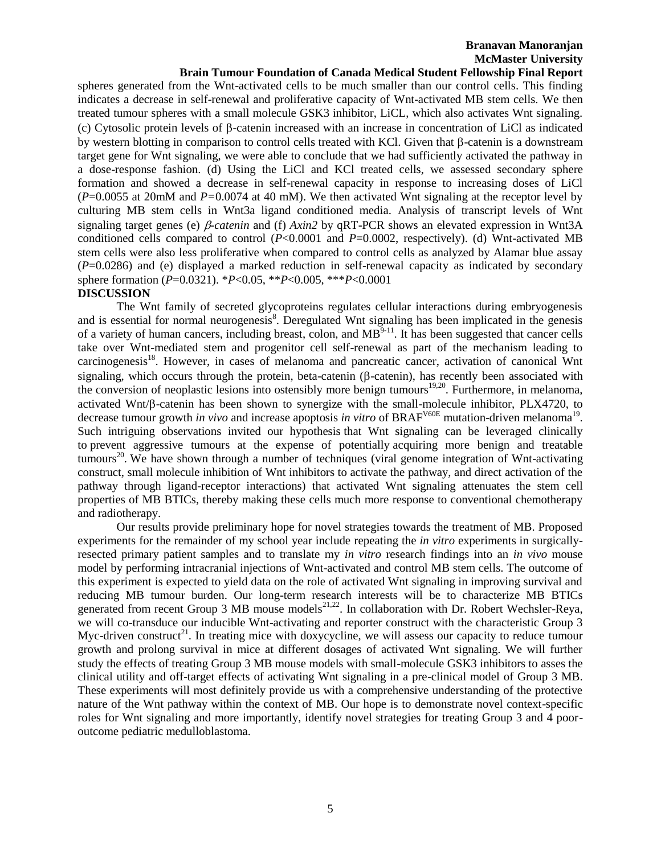# **Branavan Manoranjan McMaster University**

# **Brain Tumour Foundation of Canada Medical Student Fellowship Final Report**

spheres generated from the Wnt-activated cells to be much smaller than our control cells. This finding indicates a decrease in self-renewal and proliferative capacity of Wnt-activated MB stem cells. We then treated tumour spheres with a small molecule GSK3 inhibitor, LiCL, which also activates Wnt signaling. (c) Cytosolic protein levels of  $\beta$ -catenin increased with an increase in concentration of LiCl as indicated by western blotting in comparison to control cells treated with KCl. Given that  $\beta$ -catenin is a downstream target gene for Wnt signaling, we were able to conclude that we had sufficiently activated the pathway in a dose-response fashion. (d) Using the LiCl and KCl treated cells, we assessed secondary sphere formation and showed a decrease in self-renewal capacity in response to increasing doses of LiCl (*P*=0.0055 at 20mM and *P=*0.0074 at 40 mM). We then activated Wnt signaling at the receptor level by culturing MB stem cells in Wnt3a ligand conditioned media. Analysis of transcript levels of Wnt signaling target genes (e)  $\beta$ -catenin and (f)  $Axin2$  by qRT-PCR shows an elevated expression in Wnt3A conditioned cells compared to control (*P*<0.0001 and *P*=0.0002, respectively). (d) Wnt-activated MB stem cells were also less proliferative when compared to control cells as analyzed by Alamar blue assay (*P*=0.0286) and (e) displayed a marked reduction in self-renewal capacity as indicated by secondary sphere formation (*P*=0.0321). \**P*<0.05, \*\**P*<0.005, \*\*\**P*<0.0001

#### **DISCUSSION**

The Wnt family of secreted glycoproteins regulates cellular interactions during embryogenesis and is essential for normal neurogenesis<sup>8</sup>. Deregulated Wnt signaling has been implicated in the genesis of a variety of human cancers, including breast, colon, and  $MB^{9-11}$ . It has been suggested that cancer cells take over Wnt-mediated stem and progenitor cell self-renewal as part of the mechanism leading to carcinogenesis<sup>18</sup>. However, in cases of melanoma and pancreatic cancer, activation of canonical Wnt signaling, which occurs through the protein, beta-catenin ( $\beta$ -catenin), has recently been associated with the conversion of neoplastic lesions into ostensibly more benign tumours<sup>19,20</sup>. Furthermore, in melanoma, activated Wnt/ $\beta$ -catenin has been shown to synergize with the small-molecule inhibitor, PLX4720, to decrease tumour growth *in vivo* and increase apoptosis *in vitro* of BRAF<sup>V60E</sup> mutation-driven melanoma<sup>19</sup>. Such intriguing observations invited our hypothesis that Wnt signaling can be leveraged clinically to prevent aggressive tumours at the expense of potentially acquiring more benign and treatable tumours<sup>20</sup>. We have shown through a number of techniques (viral genome integration of Wnt-activating construct, small molecule inhibition of Wnt inhibitors to activate the pathway, and direct activation of the pathway through ligand-receptor interactions) that activated Wnt signaling attenuates the stem cell properties of MB BTICs, thereby making these cells much more response to conventional chemotherapy and radiotherapy.

Our results provide preliminary hope for novel strategies towards the treatment of MB. Proposed experiments for the remainder of my school year include repeating the *in vitro* experiments in surgicallyresected primary patient samples and to translate my *in vitro* research findings into an *in vivo* mouse model by performing intracranial injections of Wnt-activated and control MB stem cells. The outcome of this experiment is expected to yield data on the role of activated Wnt signaling in improving survival and reducing MB tumour burden. Our long-term research interests will be to characterize MB BTICs generated from recent Group 3 MB mouse models<sup>21,22</sup>. In collaboration with Dr. Robert Wechsler-Reya, we will co-transduce our inducible Wnt-activating and reporter construct with the characteristic Group 3 Myc-driven construct<sup>21</sup>. In treating mice with doxycycline, we will assess our capacity to reduce tumour growth and prolong survival in mice at different dosages of activated Wnt signaling. We will further study the effects of treating Group 3 MB mouse models with small-molecule GSK3 inhibitors to asses the clinical utility and off-target effects of activating Wnt signaling in a pre-clinical model of Group 3 MB. These experiments will most definitely provide us with a comprehensive understanding of the protective nature of the Wnt pathway within the context of MB. Our hope is to demonstrate novel context-specific roles for Wnt signaling and more importantly, identify novel strategies for treating Group 3 and 4 pooroutcome pediatric medulloblastoma.